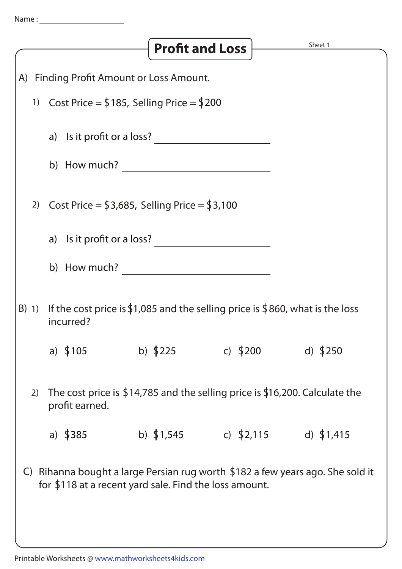|                                                                                                                                                       |                                                                                                        |                                                                                            | <b>Profit and Loss</b> |             | Sheet 1     |  |  |
|-------------------------------------------------------------------------------------------------------------------------------------------------------|--------------------------------------------------------------------------------------------------------|--------------------------------------------------------------------------------------------|------------------------|-------------|-------------|--|--|
| (A)                                                                                                                                                   | <b>Finding Profit Amount or Loss Amount.</b>                                                           |                                                                                            |                        |             |             |  |  |
|                                                                                                                                                       |                                                                                                        | 1) Cost Price = $$185$ , Selling Price = $$200$                                            |                        |             |             |  |  |
|                                                                                                                                                       |                                                                                                        | a) Is it profit or a loss?                                                                 |                        |             |             |  |  |
|                                                                                                                                                       |                                                                                                        | b) How much?                                                                               |                        |             |             |  |  |
|                                                                                                                                                       | Cost Price = $$3,685$ , Selling Price = $$3,100$<br>2)                                                 |                                                                                            |                        |             |             |  |  |
|                                                                                                                                                       |                                                                                                        | a) Is it profit or a loss?                                                                 |                        |             |             |  |  |
|                                                                                                                                                       |                                                                                                        | b) How much?                                                                               |                        |             |             |  |  |
|                                                                                                                                                       | B) 1)                                                                                                  | If the cost price is \$1,085 and the selling price is \$860, what is the loss<br>incurred? |                        |             |             |  |  |
|                                                                                                                                                       |                                                                                                        | a) $$105$                                                                                  | b) $$225$              | c) $$200$   | d) $$250$   |  |  |
|                                                                                                                                                       | The cost price is $$14,785$ and the selling price is $$16,200$ . Calculate the<br>2)<br>profit earned. |                                                                                            |                        |             |             |  |  |
|                                                                                                                                                       |                                                                                                        | a) $$385$                                                                                  | b) $$1,545$            | c) $$2,115$ | d) $$1,415$ |  |  |
| Rihanna bought a large Persian rug worth \$182 a few years ago. She sold it<br>$\mathsf{C}$<br>for \$118 at a recent yard sale. Find the loss amount. |                                                                                                        |                                                                                            |                        |             |             |  |  |
|                                                                                                                                                       |                                                                                                        |                                                                                            |                        |             |             |  |  |

Printable Worksheets @ www.mathworksheets4kids.com